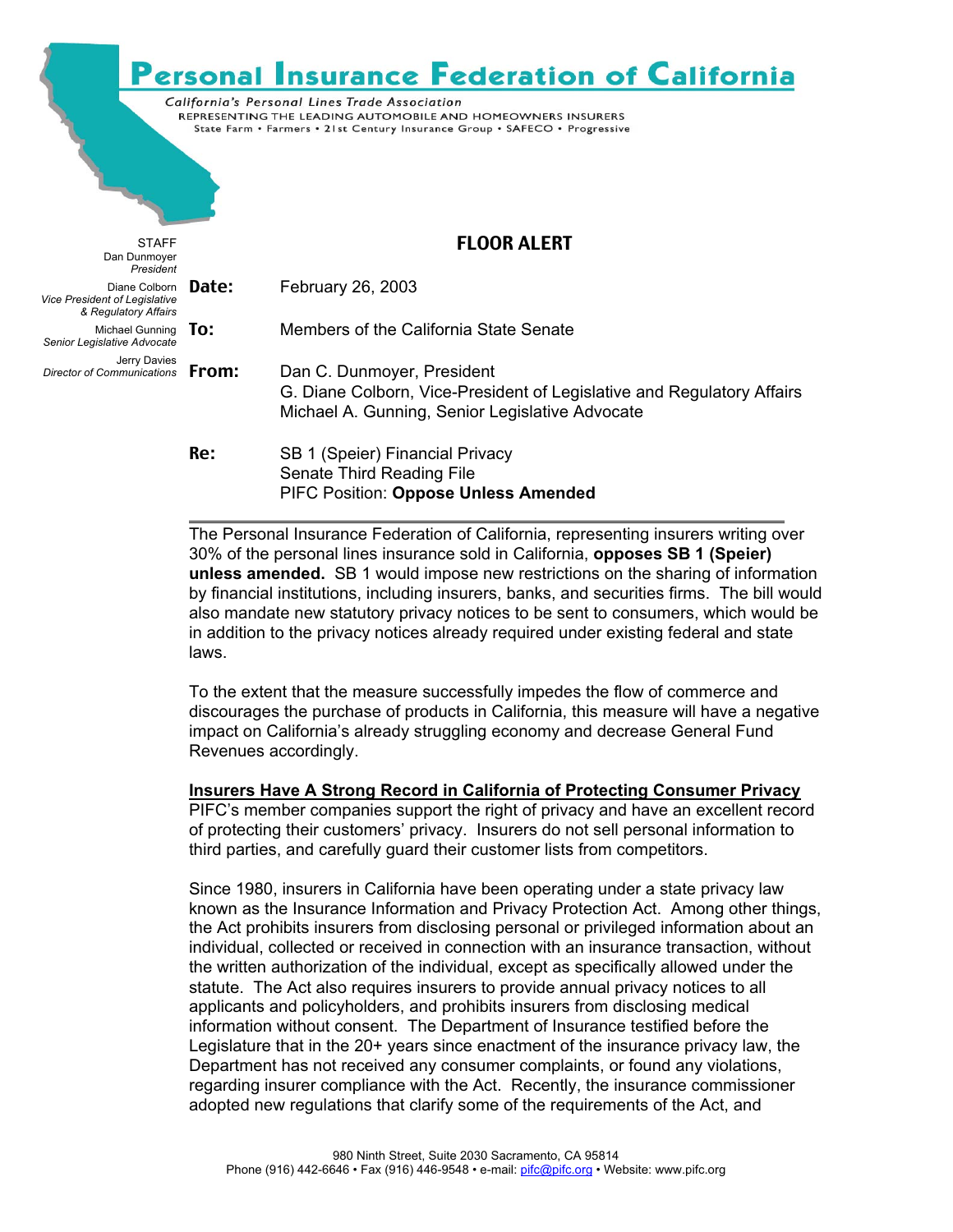# **Personal Insurance Federation of California**

California's Personal Lines Trade Association REPRESENTING THE LEADING AUTOMOBILE AND HOMEOWNERS INSURERS State Farm . Farmers . 21st Century Insurance Group . SAFECO . Progressive

| <b>STAFF</b><br>Dan Dunmoyer<br>President                                           |     | <b>FLOOR ALERT</b>                                                                                                                                      |
|-------------------------------------------------------------------------------------|-----|---------------------------------------------------------------------------------------------------------------------------------------------------------|
| Diane Colborn Date:<br><b>Vice President of Legislative</b><br>& Regulatory Affairs |     | February 26, 2003                                                                                                                                       |
| Michael Gunning $\overline{10}$ :<br>Senior Legislative Advocate                    |     | Members of the California State Senate                                                                                                                  |
| Jerry Davies<br>Director of Communications From:                                    |     | Dan C. Dunmoyer, President<br>G. Diane Colborn, Vice-President of Legislative and Regulatory Affairs<br>Michael A. Gunning, Senior Legislative Advocate |
|                                                                                     | Re: | SB 1 (Speier) Financial Privacy<br>Senate Third Reading File<br><b>PIFC Position: Oppose Unless Amended</b>                                             |

 $\overline{a}$ The Personal Insurance Federation of California, representing insurers writing over 30% of the personal lines insurance sold in California, **opposes SB 1 (Speier) unless amended.** SB 1 would impose new restrictions on the sharing of information by financial institutions, including insurers, banks, and securities firms. The bill would also mandate new statutory privacy notices to be sent to consumers, which would be in addition to the privacy notices already required under existing federal and state laws.

To the extent that the measure successfully impedes the flow of commerce and discourages the purchase of products in California, this measure will have a negative impact on California's already struggling economy and decrease General Fund Revenues accordingly.

#### **Insurers Have A Strong Record in California of Protecting Consumer Privacy**

PIFC's member companies support the right of privacy and have an excellent record of protecting their customers' privacy. Insurers do not sell personal information to third parties, and carefully guard their customer lists from competitors.

Since 1980, insurers in California have been operating under a state privacy law known as the Insurance Information and Privacy Protection Act. Among other things, the Act prohibits insurers from disclosing personal or privileged information about an individual, collected or received in connection with an insurance transaction, without the written authorization of the individual, except as specifically allowed under the statute. The Act also requires insurers to provide annual privacy notices to all applicants and policyholders, and prohibits insurers from disclosing medical information without consent. The Department of Insurance testified before the Legislature that in the 20+ years since enactment of the insurance privacy law, the Department has not received any consumer complaints, or found any violations, regarding insurer compliance with the Act. Recently, the insurance commissioner adopted new regulations that clarify some of the requirements of the Act, and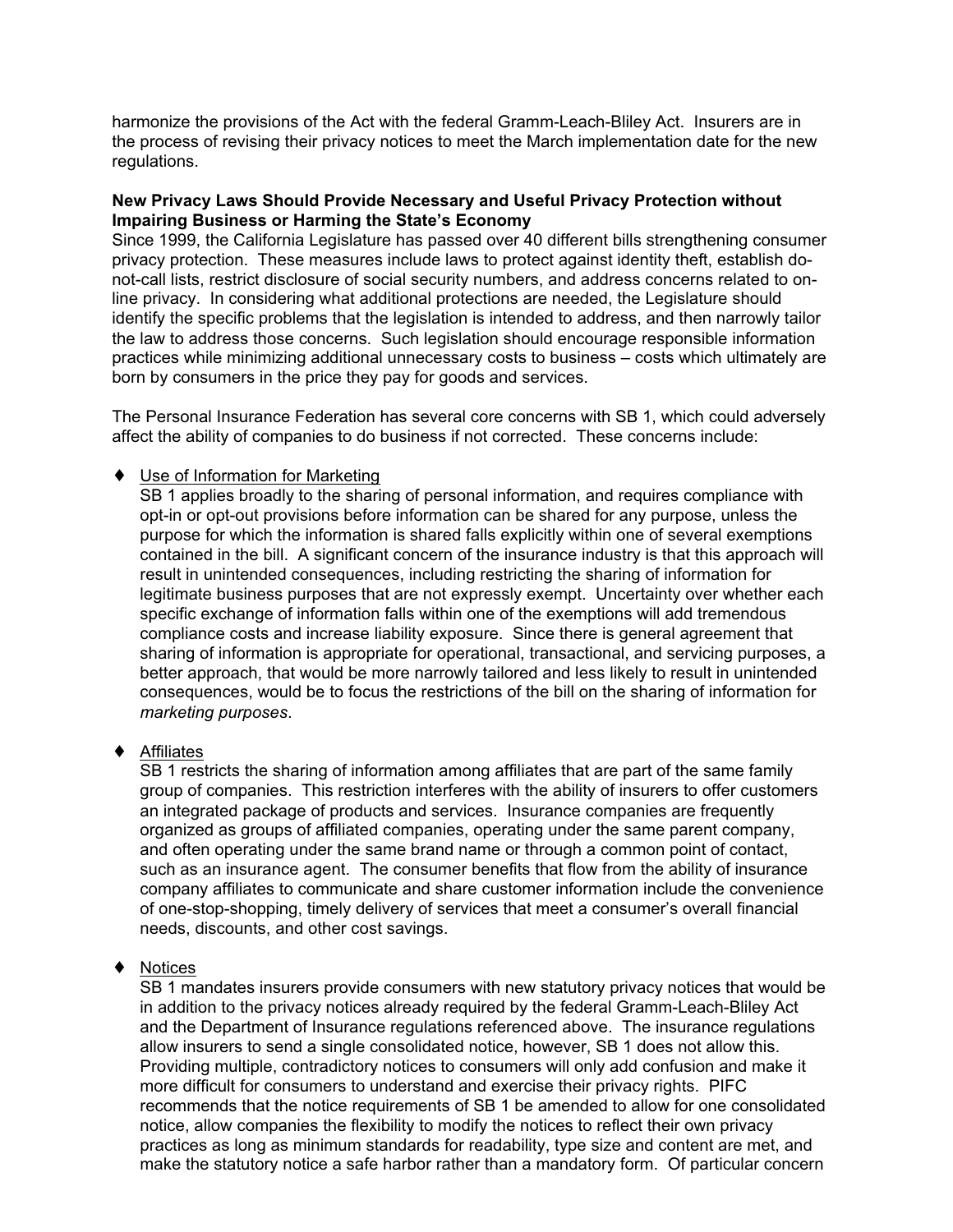harmonize the provisions of the Act with the federal Gramm-Leach-Bliley Act. Insurers are in the process of revising their privacy notices to meet the March implementation date for the new regulations.

### **New Privacy Laws Should Provide Necessary and Useful Privacy Protection without Impairing Business or Harming the State's Economy**

Since 1999, the California Legislature has passed over 40 different bills strengthening consumer privacy protection. These measures include laws to protect against identity theft, establish donot-call lists, restrict disclosure of social security numbers, and address concerns related to online privacy. In considering what additional protections are needed, the Legislature should identify the specific problems that the legislation is intended to address, and then narrowly tailor the law to address those concerns. Such legislation should encourage responsible information practices while minimizing additional unnecessary costs to business – costs which ultimately are born by consumers in the price they pay for goods and services.

The Personal Insurance Federation has several core concerns with SB 1, which could adversely affect the ability of companies to do business if not corrected. These concerns include:

### ♦ Use of Information for Marketing

SB 1 applies broadly to the sharing of personal information, and requires compliance with opt-in or opt-out provisions before information can be shared for any purpose, unless the purpose for which the information is shared falls explicitly within one of several exemptions contained in the bill. A significant concern of the insurance industry is that this approach will result in unintended consequences, including restricting the sharing of information for legitimate business purposes that are not expressly exempt. Uncertainty over whether each specific exchange of information falls within one of the exemptions will add tremendous compliance costs and increase liability exposure. Since there is general agreement that sharing of information is appropriate for operational, transactional, and servicing purposes, a better approach, that would be more narrowly tailored and less likely to result in unintended consequences, would be to focus the restrictions of the bill on the sharing of information for *marketing purposes*.

### ♦ Affiliates

SB 1 restricts the sharing of information among affiliates that are part of the same family group of companies. This restriction interferes with the ability of insurers to offer customers an integrated package of products and services. Insurance companies are frequently organized as groups of affiliated companies, operating under the same parent company, and often operating under the same brand name or through a common point of contact, such as an insurance agent. The consumer benefits that flow from the ability of insurance company affiliates to communicate and share customer information include the convenience of one-stop-shopping, timely delivery of services that meet a consumer's overall financial needs, discounts, and other cost savings.

### ♦ Notices

SB 1 mandates insurers provide consumers with new statutory privacy notices that would be in addition to the privacy notices already required by the federal Gramm-Leach-Bliley Act and the Department of Insurance regulations referenced above. The insurance regulations allow insurers to send a single consolidated notice, however, SB 1 does not allow this. Providing multiple, contradictory notices to consumers will only add confusion and make it more difficult for consumers to understand and exercise their privacy rights. PIFC recommends that the notice requirements of SB 1 be amended to allow for one consolidated notice, allow companies the flexibility to modify the notices to reflect their own privacy practices as long as minimum standards for readability, type size and content are met, and make the statutory notice a safe harbor rather than a mandatory form. Of particular concern